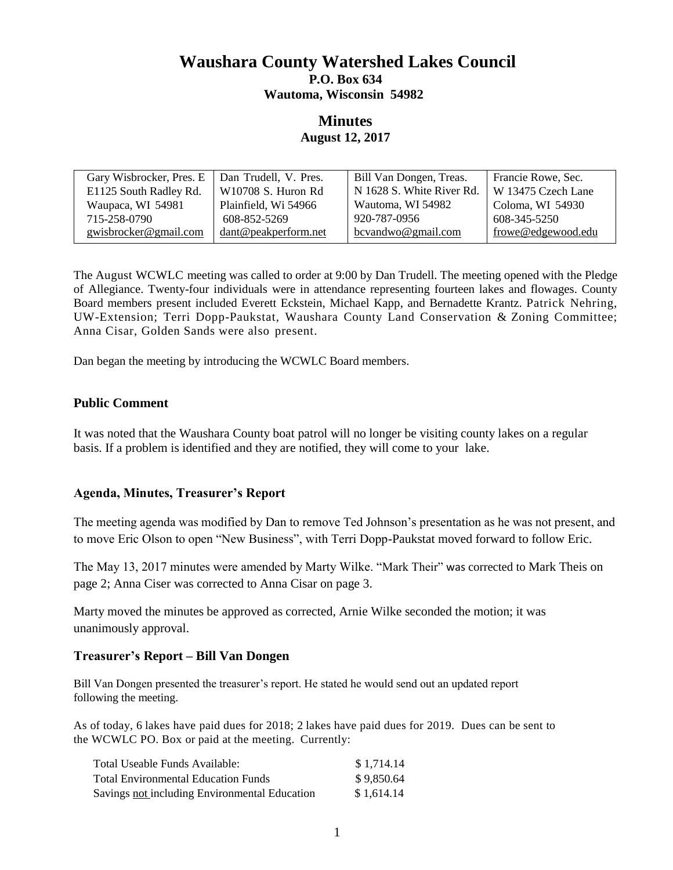# **Waushara County Watershed Lakes Council P.O. Box 634 Wautoma, Wisconsin 54982**

# **Minutes August 12, 2017**

| Gary Wisbrocker, Pres. E | Dan Trudell, V. Pres. | Bill Van Dongen, Treas.   | Francie Rowe, Sec. |
|--------------------------|-----------------------|---------------------------|--------------------|
| E1125 South Radley Rd.   | W10708 S. Huron Rd    | N 1628 S. White River Rd. | W 13475 Czech Lane |
| Waupaca, WI 54981        | Plainfield, Wi 54966  | Wautoma, WI 54982         | Coloma, WI 54930   |
| 715-258-0790             | 608-852-5269          | 920-787-0956              | 608-345-5250       |
| gwisbrocker@gmail.com    | dant@peakperform.net  | bcvandwo@gmail.com        | frowe@edgewood.edu |
|                          |                       |                           |                    |

The August WCWLC meeting was called to order at 9:00 by Dan Trudell. The meeting opened with the Pledge of Allegiance. Twenty-four individuals were in attendance representing fourteen lakes and flowages. County Board members present included Everett Eckstein, Michael Kapp, and Bernadette Krantz. Patrick Nehring, UW-Extension; Terri Dopp-Paukstat, Waushara County Land Conservation & Zoning Committee; Anna Cisar, Golden Sands were also present.

Dan began the meeting by introducing the WCWLC Board members.

## **Public Comment**

It was noted that the Waushara County boat patrol will no longer be visiting county lakes on a regular basis. If a problem is identified and they are notified, they will come to your lake.

# **Agenda, Minutes, Treasurer's Report**

The meeting agenda was modified by Dan to remove Ted Johnson's presentation as he was not present, and to move Eric Olson to open "New Business", with Terri Dopp-Paukstat moved forward to follow Eric.

The May 13, 2017 minutes were amended by Marty Wilke. "Mark Their" was corrected to Mark Theis on page 2; Anna Ciser was corrected to Anna Cisar on page 3.

Marty moved the minutes be approved as corrected, Arnie Wilke seconded the motion; it was unanimously approval.

## **Treasurer's Report – Bill Van Dongen**

Bill Van Dongen presented the treasurer's report. He stated he would send out an updated report following the meeting.

As of today, 6 lakes have paid dues for 2018; 2 lakes have paid dues for 2019. Dues can be sent to the WCWLC PO. Box or paid at the meeting. Currently:

| Total Useable Funds Available:                | \$1,714.14 |
|-----------------------------------------------|------------|
| <b>Total Environmental Education Funds</b>    | \$9,850.64 |
| Savings not including Environmental Education | \$1.614.14 |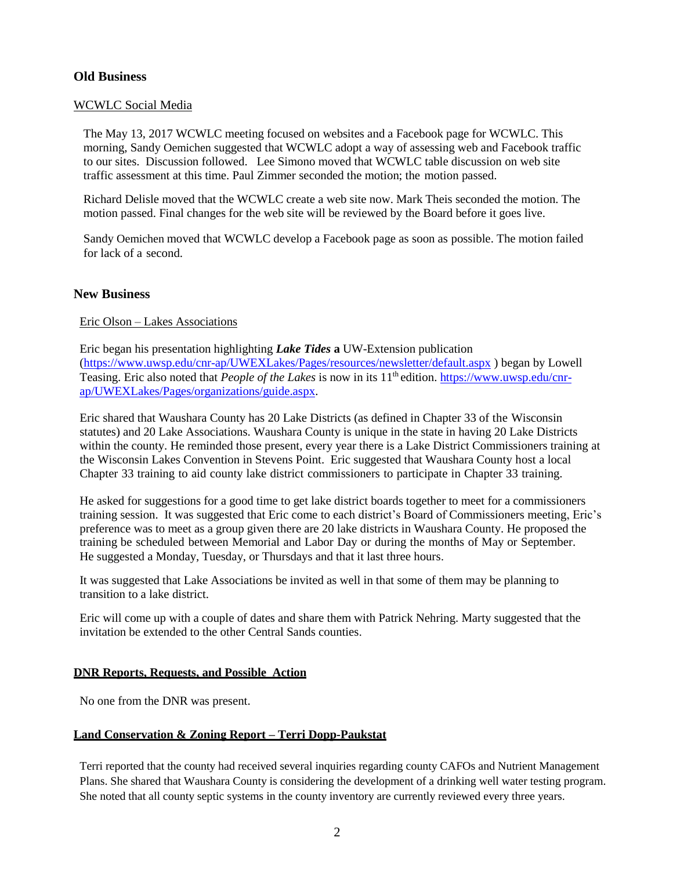## **Old Business**

#### WCWLC Social Media

The May 13, 2017 WCWLC meeting focused on websites and a Facebook page for WCWLC. This morning, Sandy Oemichen suggested that WCWLC adopt a way of assessing web and Facebook traffic to our sites. Discussion followed. Lee Simono moved that WCWLC table discussion on web site traffic assessment at this time. Paul Zimmer seconded the motion; the motion passed.

Richard Delisle moved that the WCWLC create a web site now. Mark Theis seconded the motion. The motion passed. Final changes for the web site will be reviewed by the Board before it goes live.

Sandy Oemichen moved that WCWLC develop a Facebook page as soon as possible. The motion failed for lack of a second.

#### **New Business**

#### Eric Olson – Lakes Associations

Eric began his presentation highlighting *Lake Tides* **a** UW-Extension publication [\(https://www.uwsp.edu/cnr-ap/UWEXLakes/Pages/resources/newsletter/default.aspx](https://www.uwsp.edu/cnr-ap/UWEXLakes/Pages/resources/newsletter/default.aspx) ) began by Lowell Teasing. Eric also noted that *People of the Lakes* is now in its 11<sup>th</sup> edition. [https://www.uwsp.edu/cnr](https://www.uwsp.edu/cnr-ap/UWEXLakes/Pages/organizations/guide.aspx)[ap/UWEXLakes/Pages/organizations/guide.aspx.](https://www.uwsp.edu/cnr-ap/UWEXLakes/Pages/organizations/guide.aspx)

Eric shared that Waushara County has 20 Lake Districts (as defined in Chapter 33 of the Wisconsin statutes) and 20 Lake Associations. Waushara County is unique in the state in having 20 Lake Districts within the county. He reminded those present, every year there is a Lake District Commissioners training at the Wisconsin Lakes Convention in Stevens Point. Eric suggested that Waushara County host a local Chapter 33 training to aid county lake district commissioners to participate in Chapter 33 training.

He asked for suggestions for a good time to get lake district boards together to meet for a commissioners training session. It was suggested that Eric come to each district's Board of Commissioners meeting, Eric's preference was to meet as a group given there are 20 lake districts in Waushara County. He proposed the training be scheduled between Memorial and Labor Day or during the months of May or September. He suggested a Monday, Tuesday, or Thursdays and that it last three hours.

It was suggested that Lake Associations be invited as well in that some of them may be planning to transition to a lake district.

Eric will come up with a couple of dates and share them with Patrick Nehring. Marty suggested that the invitation be extended to the other Central Sands counties.

#### **DNR Reports, Requests, and Possible Action**

No one from the DNR was present.

#### **Land Conservation & Zoning Report – Terri Dopp-Paukstat**

Terri reported that the county had received several inquiries regarding county CAFOs and Nutrient Management Plans. She shared that Waushara County is considering the development of a drinking well water testing program. She noted that all county septic systems in the county inventory are currently reviewed every three years.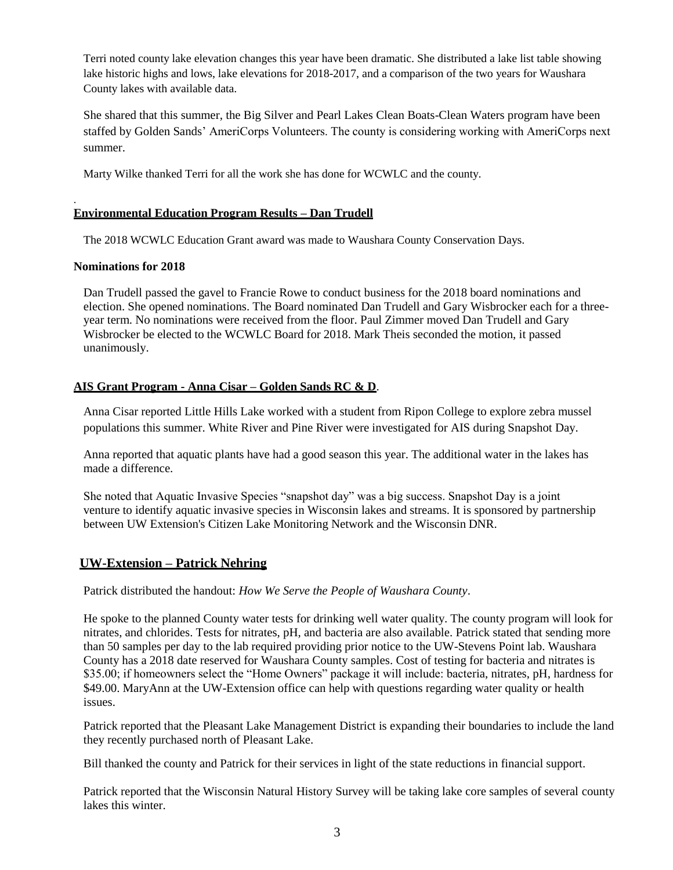Terri noted county lake elevation changes this year have been dramatic. She distributed a lake list table showing lake historic highs and lows, lake elevations for 2018-2017, and a comparison of the two years for Waushara County lakes with available data.

She shared that this summer, the Big Silver and Pearl Lakes Clean Boats-Clean Waters program have been staffed by Golden Sands' AmeriCorps Volunteers. The county is considering working with AmeriCorps next summer.

Marty Wilke thanked Terri for all the work she has done for WCWLC and the county.

#### **Environmental Education Program Results – Dan Trudell**

The 2018 WCWLC Education Grant award was made to Waushara County Conservation Days.

#### **Nominations for 2018**

.

Dan Trudell passed the gavel to Francie Rowe to conduct business for the 2018 board nominations and election. She opened nominations. The Board nominated Dan Trudell and Gary Wisbrocker each for a threeyear term. No nominations were received from the floor. Paul Zimmer moved Dan Trudell and Gary Wisbrocker be elected to the WCWLC Board for 2018. Mark Theis seconded the motion, it passed unanimously.

## **AIS Grant Program - Anna Cisar – Golden Sands RC & D**.

Anna Cisar reported Little Hills Lake worked with a student from Ripon College to explore zebra mussel populations this summer. White River and Pine River were investigated for AIS during Snapshot Day.

Anna reported that aquatic plants have had a good season this year. The additional water in the lakes has made a difference.

She noted that Aquatic Invasive Species "snapshot day" was a big success. Snapshot Day is a joint venture to identify aquatic invasive species in Wisconsin lakes and streams. It is sponsored by partnership between UW Extension's Citizen Lake Monitoring Network and the Wisconsin DNR.

## **UW-Extension – Patrick Nehring**

Patrick distributed the handout: *How We Serve the People of Waushara County*.

He spoke to the planned County water tests for drinking well water quality. The county program will look for nitrates, and chlorides. Tests for nitrates, pH, and bacteria are also available. Patrick stated that sending more than 50 samples per day to the lab required providing prior notice to the UW-Stevens Point lab. Waushara County has a 2018 date reserved for Waushara County samples. Cost of testing for bacteria and nitrates is \$35.00; if homeowners select the "Home Owners" package it will include: bacteria, nitrates, pH, hardness for \$49.00. MaryAnn at the UW-Extension office can help with questions regarding water quality or health issues.

Patrick reported that the Pleasant Lake Management District is expanding their boundaries to include the land they recently purchased north of Pleasant Lake.

Bill thanked the county and Patrick for their services in light of the state reductions in financial support.

Patrick reported that the Wisconsin Natural History Survey will be taking lake core samples of several county lakes this winter.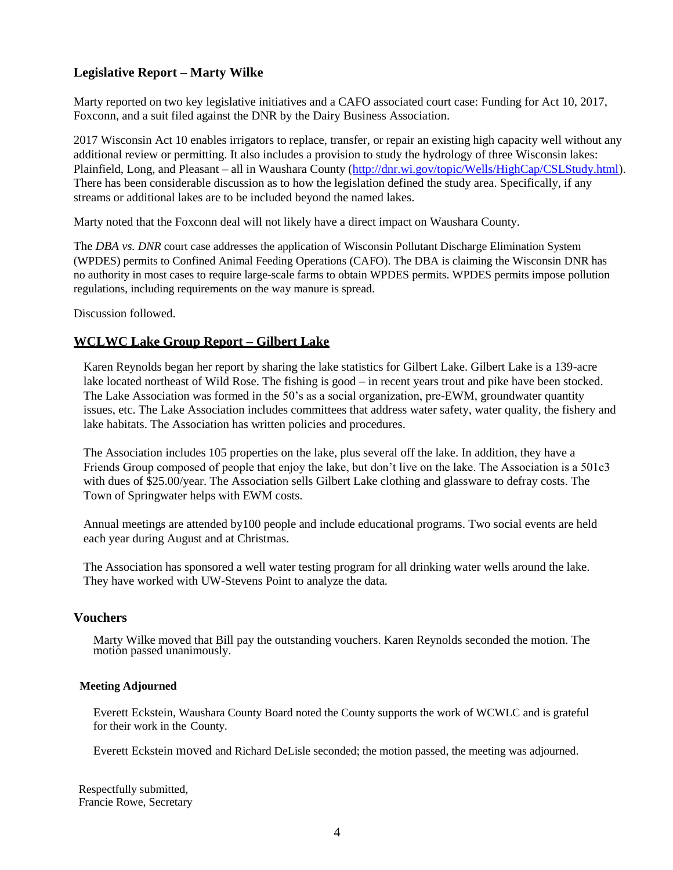# **Legislative Report – Marty Wilke**

Marty reported on two key legislative initiatives and a CAFO associated court case: Funding for Act 10, 2017, Foxconn, and a suit filed against the DNR by the Dairy Business Association.

2017 Wisconsin Act 10 enables irrigators to replace, transfer, or repair an existing high capacity well without any additional review or permitting. It also includes a provision to study the hydrology of three Wisconsin lakes: Plainfield, Long, and Pleasant – all in Waushara County [\(http://dnr.wi.gov/topic/Wells/HighCap/CSLStudy.html\)](http://dnr.wi.gov/topic/Wells/HighCap/CSLStudy.html). There has been considerable discussion as to how the legislation defined the study area. Specifically, if any streams or additional lakes are to be included beyond the named lakes.

Marty noted that the Foxconn deal will not likely have a direct impact on Waushara County.

The *DBA vs. DNR* court case addresses the application of Wisconsin Pollutant Discharge Elimination System (WPDES) permits to Confined Animal Feeding Operations (CAFO). The DBA is claiming the Wisconsin DNR has no authority in most cases to require large-scale farms to obtain WPDES permits. WPDES permits impose pollution regulations, including requirements on the way manure is spread.

Discussion followed.

# **WCLWC Lake Group Report – Gilbert Lake**

Karen Reynolds began her report by sharing the lake statistics for Gilbert Lake. Gilbert Lake is a 139-acre lake located northeast of Wild Rose. The fishing is good – in recent years trout and pike have been stocked. The Lake Association was formed in the 50's as a social organization, pre-EWM, groundwater quantity issues, etc. The Lake Association includes committees that address water safety, water quality, the fishery and lake habitats. The Association has written policies and procedures.

The Association includes 105 properties on the lake, plus several off the lake. In addition, they have a Friends Group composed of people that enjoy the lake, but don't live on the lake. The Association is a 501c3 with dues of \$25.00/year. The Association sells Gilbert Lake clothing and glassware to defray costs. The Town of Springwater helps with EWM costs.

Annual meetings are attended by100 people and include educational programs. Two social events are held each year during August and at Christmas.

The Association has sponsored a well water testing program for all drinking water wells around the lake. They have worked with UW-Stevens Point to analyze the data.

## **Vouchers**

Marty Wilke moved that Bill pay the outstanding vouchers. Karen Reynolds seconded the motion. The motion passed unanimously.

#### **Meeting Adjourned**

Everett Eckstein, Waushara County Board noted the County supports the work of WCWLC and is grateful for their work in the County.

Everett Eckstein moved and Richard DeLisle seconded; the motion passed, the meeting was adjourned.

Respectfully submitted, Francie Rowe, Secretary